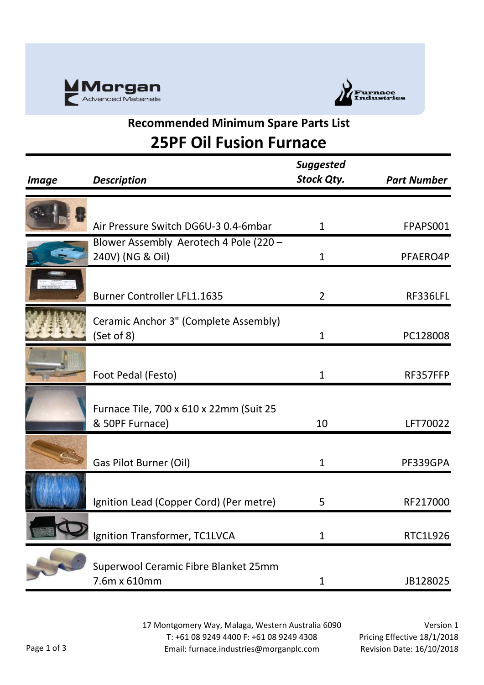



### **Recommended Minimum Spare Parts List 25PF Oil Fusion Furnace**

| <i><b>Image</b></i> | <b>Description</b>                      | <b>Suggested</b><br>Stock Qty. | <b>Part Number</b> |
|---------------------|-----------------------------------------|--------------------------------|--------------------|
|                     |                                         |                                |                    |
|                     |                                         |                                |                    |
|                     | Air Pressure Switch DG6U-3 0.4-6mbar    | $\mathbf{1}$                   | FPAPS001           |
|                     | Blower Assembly Aerotech 4 Pole (220 -  |                                |                    |
|                     | 240V) (NG & Oil)                        | $\mathbf 1$                    | PFAERO4P           |
|                     |                                         |                                |                    |
|                     | <b>Burner Controller LFL1.1635</b>      | $\overline{2}$                 | RF336LFL           |
|                     | Ceramic Anchor 3" (Complete Assembly)   |                                |                    |
|                     | (Set of 8)                              | 1                              | PC128008           |
|                     |                                         |                                |                    |
|                     |                                         |                                |                    |
|                     | Foot Pedal (Festo)                      | $\mathbf{1}$                   | RF357FFP           |
|                     |                                         |                                |                    |
|                     | Furnace Tile, 700 x 610 x 22mm (Suit 25 |                                |                    |
|                     | & 50PF Furnace)                         | 10                             | LFT70022           |
|                     |                                         |                                |                    |
|                     | Gas Pilot Burner (Oil)                  | $\mathbf{1}$                   | PF339GPA           |
|                     |                                         |                                |                    |
|                     |                                         |                                |                    |
|                     | Ignition Lead (Copper Cord) (Per metre) | 5                              | RF217000           |
|                     |                                         |                                |                    |
|                     | Ignition Transformer, TC1LVCA           | $\mathbf 1$                    | <b>RTC1L926</b>    |
|                     |                                         |                                |                    |
|                     | Superwool Ceramic Fibre Blanket 25mm    |                                |                    |
|                     | 7.6m x 610mm                            | 1                              | JB128025           |

17 Montgomery Way, Malaga, Western Australia 6090 T: +61 08 9249 4400 F: +61 08 9249 4308 Email: furnace.industries@morganplc.com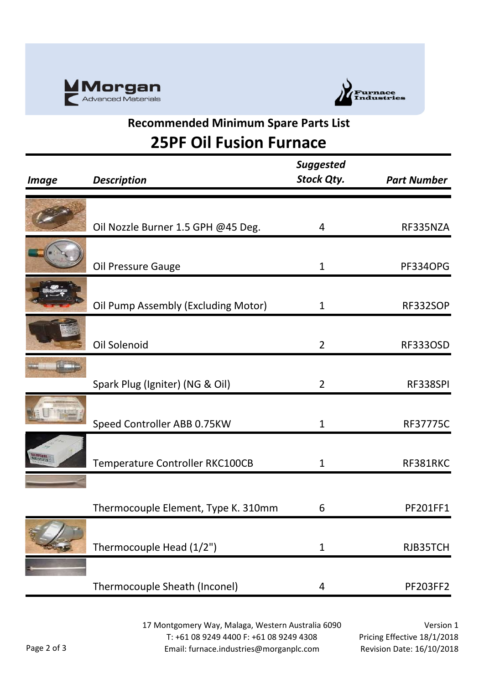



### **Recommended Minimum Spare Parts List 25PF Oil Fusion Furnace**

|                     |                                     | <b>Suggested</b>  |                    |
|---------------------|-------------------------------------|-------------------|--------------------|
| <i><b>Image</b></i> | <b>Description</b>                  | <b>Stock Qty.</b> | <b>Part Number</b> |
|                     |                                     |                   |                    |
|                     | Oil Nozzle Burner 1.5 GPH @45 Deg.  | 4                 | RF335NZA           |
|                     | Oil Pressure Gauge                  | $\mathbf{1}$      | <b>PF334OPG</b>    |
|                     | Oil Pump Assembly (Excluding Motor) | 1                 | RF332SOP           |
|                     | Oil Solenoid                        | $\overline{2}$    | <b>RF333OSD</b>    |
|                     | Spark Plug (Igniter) (NG & Oil)     | $\overline{2}$    | RF338SPI           |
| <b>ALEMETHAWITA</b> | Speed Controller ABB 0.75KW         | $\mathbf{1}$      | <b>RF37775C</b>    |
|                     | Temperature Controller RKC100CB     | 1                 | RF381RKC           |
|                     | Thermocouple Element, Type K. 310mm | 6                 | PF201FF1           |
|                     | Thermocouple Head (1/2")            | $\mathbf{1}$      | RJB35TCH           |
|                     | Thermocouple Sheath (Inconel)       | 4                 | <b>PF203FF2</b>    |

17 Montgomery Way, Malaga, Western Australia 6090 T: +61 08 9249 4400 F: +61 08 9249 4308 Email: furnace.industries@morganplc.com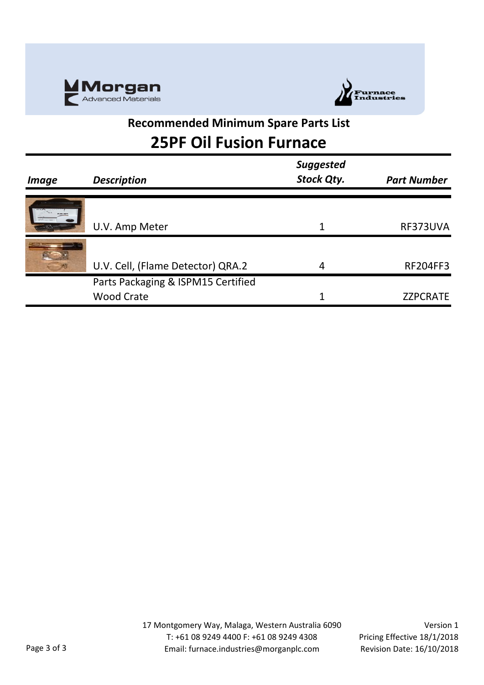



#### **Recommended Minimum Spare Parts List 25PF Oil Fusion Furnace**

| <i><b>Image</b></i> | <b>Description</b>                 | <b>Suggested</b><br><b>Stock Qty.</b> | <b>Part Number</b> |
|---------------------|------------------------------------|---------------------------------------|--------------------|
|                     |                                    |                                       |                    |
|                     | U.V. Amp Meter                     |                                       | RF373UVA           |
|                     |                                    |                                       |                    |
|                     | U.V. Cell, (Flame Detector) QRA.2  | 4                                     | <b>RF204FF3</b>    |
|                     | Parts Packaging & ISPM15 Certified |                                       |                    |
|                     | <b>Wood Crate</b>                  |                                       | <b>ZZPCRATE</b>    |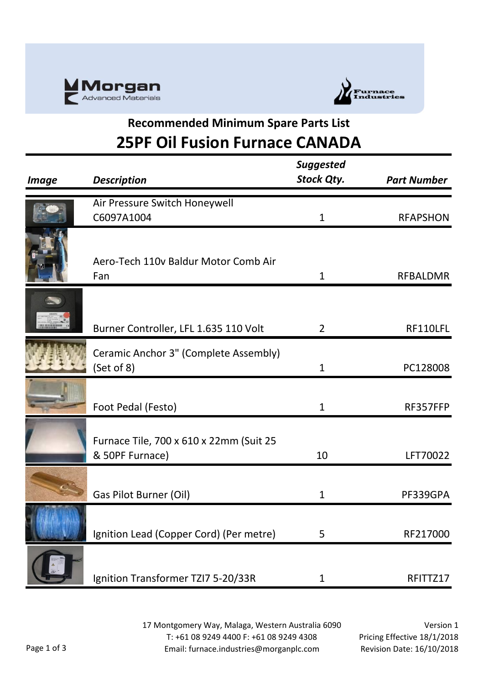



## **Recommended Minimum Spare Parts List 25PF Oil Fusion Furnace CANADA**

| <i><b>Image</b></i> | <b>Description</b>                                         | <b>Suggested</b><br><b>Stock Qty.</b> | <b>Part Number</b> |
|---------------------|------------------------------------------------------------|---------------------------------------|--------------------|
|                     | Air Pressure Switch Honeywell<br>C6097A1004                | $\mathbf 1$                           | <b>RFAPSHON</b>    |
|                     | Aero-Tech 110v Baldur Motor Comb Air<br>Fan                | 1                                     | <b>RFBALDMR</b>    |
|                     | Burner Controller, LFL 1.635 110 Volt                      | $\overline{2}$                        | RF110LFL           |
|                     | Ceramic Anchor 3" (Complete Assembly)<br>(Set of 8)        | $\mathbf{1}$                          | PC128008           |
|                     | Foot Pedal (Festo)                                         | 1                                     | RF357FFP           |
|                     | Furnace Tile, 700 x 610 x 22mm (Suit 25<br>& 50PF Furnace) | 10                                    | LFT70022           |
|                     | Gas Pilot Burner (Oil)                                     | 1                                     | PF339GPA           |
|                     | Ignition Lead (Copper Cord) (Per metre)                    | 5                                     | RF217000           |
|                     | Ignition Transformer TZI7 5-20/33R                         | 1                                     | RFITTZ17           |

17 Montgomery Way, Malaga, Western Australia 6090 T: +61 08 9249 4400 F: +61 08 9249 4308 Email: furnace.industries@morganplc.com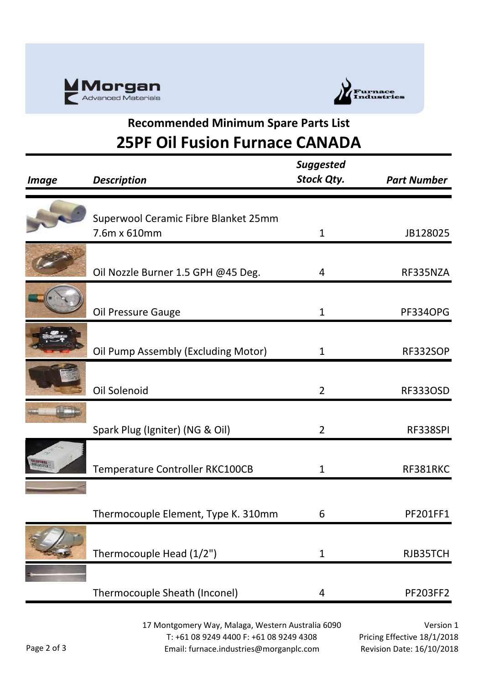



## **Recommended Minimum Spare Parts List 25PF Oil Fusion Furnace CANADA**

| <b>Image</b>    | <b>Description</b>                   | <b>Suggested</b><br><b>Stock Qty.</b> | <b>Part Number</b> |
|-----------------|--------------------------------------|---------------------------------------|--------------------|
|                 |                                      |                                       |                    |
|                 | Superwool Ceramic Fibre Blanket 25mm |                                       |                    |
|                 | 7.6m x 610mm                         | $\mathbf{1}$                          | JB128025           |
|                 | Oil Nozzle Burner 1.5 GPH @45 Deg.   | 4                                     | RF335NZA           |
|                 | Oil Pressure Gauge                   | $\mathbf{1}$                          | <b>PF334OPG</b>    |
|                 | Oil Pump Assembly (Excluding Motor)  | $\mathbf{1}$                          | RF332SOP           |
|                 | Oil Solenoid                         | $\overline{2}$                        | <b>RF333OSD</b>    |
|                 | Spark Plug (Igniter) (NG & Oil)      | $\overline{2}$                        | RF338SPI           |
| nnen<br>Biskabi | Temperature Controller RKC100CB      | 1                                     | RF381RKC           |
|                 | Thermocouple Element, Type K. 310mm  | 6                                     | PF201FF1           |
|                 | Thermocouple Head (1/2")             | $\mathbf{1}$                          | RJB35TCH           |
|                 | Thermocouple Sheath (Inconel)        | 4                                     | <b>PF203FF2</b>    |

17 Montgomery Way, Malaga, Western Australia 6090 T: +61 08 9249 4400 F: +61 08 9249 4308 Email: furnace.industries@morganplc.com